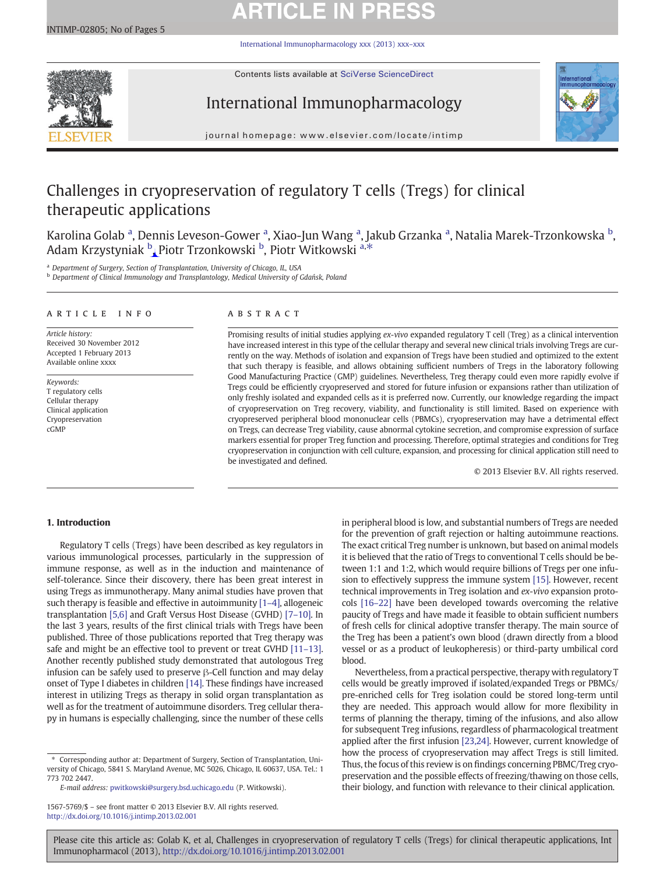# **ARTICLE IN PRES**

[International Immunopharmacology xxx \(2013\) xxx](http://dx.doi.org/10.1016/j.intimp.2013.02.001)–xxx



Contents lists available at SciVerse ScienceDirect

# International Immunopharmacology



journal homepage: www.elsevier.com/locate/intimp

# Challenges in cryopreservation of regulatory T cells (Tregs) for clinical therapeutic applications

Karolina Golab <sup>a</sup>, Dennis Leveson-Gower <sup>a</sup>, Xiao-Jun Wang <sup>a</sup>, Jakub Grzanka <sup>a</sup>, Natalia Marek-Trzonkowska <sup>b</sup>, Adam Krzystyniak  $^{\mathrm{b}}$ , Piotr Trzonkowski  $^{\mathrm{b}}$ , Piotr Witkowski a,\*

Department of Surgery, Section of Transplantation, University of Chicago, IL, USA

<sup>b</sup> Department of Clinical Immunology and Transplantology, Medical University of Gdańsk, Poland

### article info abstract

Article history: Received 30 November 2012 Accepted 1 February 2013 Available online xxxx

Keywords: T regulatory cells Cellular therapy Clinical application Cryopreservation cGMP

Promising results of initial studies applying ex-vivo expanded regulatory T cell (Treg) as a clinical intervention have increased interest in this type of the cellular therapy and several new clinical trials involving Tregs are currently on the way. Methods of isolation and expansion of Tregs have been studied and optimized to the extent that such therapy is feasible, and allows obtaining sufficient numbers of Tregs in the laboratory following Good Manufacturing Practice (GMP) guidelines. Nevertheless, Treg therapy could even more rapidly evolve if Tregs could be efficiently cryopreserved and stored for future infusion or expansions rather than utilization of only freshly isolated and expanded cells as it is preferred now. Currently, our knowledge regarding the impact of cryopreservation on Treg recovery, viability, and functionality is still limited. Based on experience with cryopreserved peripheral blood mononuclear cells (PBMCs), cryopreservation may have a detrimental effect on Tregs, can decrease Treg viability, cause abnormal cytokine secretion, and compromise expression of surface markers essential for proper Treg function and processing. Therefore, optimal strategies and conditions for Treg cryopreservation in conjunction with cell culture, expansion, and processing for clinical application still need to be investigated and defined.

© 2013 Elsevier B.V. All rights reserved.

# 1. Introduction

Regulatory T cells (Tregs) have been described as key regulators in various immunological processes, particularly in the suppression of immune response, as well as in the induction and maintenance of self-tolerance. Since their discovery, there has been great interest in using Tregs as immunotherapy. Many animal studies have proven that such therapy is feasible and effective in autoimmunity [\[1](#page-4-0)–4], allogeneic transplantation [\[5,6\]](#page-4-0) and Graft Versus Host Disease (GVHD) [7–[10\]](#page-4-0). In the last 3 years, results of the first clinical trials with Tregs have been published. Three of those publications reported that Treg therapy was safe and might be an effective tool to prevent or treat GVHD [11–[13\].](#page-4-0) Another recently published study demonstrated that autologous Treg infusion can be safely used to preserve β-Cell function and may delay onset of Type I diabetes in children [\[14\]](#page-4-0). These findings have increased interest in utilizing Tregs as therapy in solid organ transplantation as well as for the treatment of autoimmune disorders. Treg cellular therapy in humans is especially challenging, since the number of these cells

⁎ Corresponding author at: Department of Surgery, Section of Transplantation, University of Chicago, 5841 S. Maryland Avenue, MC 5026, Chicago, IL 60637, USA. Tel.: 1 773 702 2447.

E-mail address: [pwitkowski@surgery.bsd.uchicago.edu](mailto:pwitkowski@surgery.bsd.uchicago.edu) (P. Witkowski).

in peripheral blood is low, and substantial numbers of Tregs are needed for the prevention of graft rejection or halting autoimmune reactions. The exact critical Treg number is unknown, but based on animal models it is believed that the ratio of Tregs to conventional T cells should be between 1:1 and 1:2, which would require billions of Tregs per one infusion to effectively suppress the immune system [\[15\]](#page-4-0). However, recent technical improvements in Treg isolation and ex-vivo expansion protocols [16–[22\]](#page-4-0) have been developed towards overcoming the relative paucity of Tregs and have made it feasible to obtain sufficient numbers of fresh cells for clinical adoptive transfer therapy. The main source of the Treg has been a patient's own blood (drawn directly from a blood vessel or as a product of leukopheresis) or third-party umbilical cord blood.

Nevertheless, from a practical perspective, therapy with regulatory T cells would be greatly improved if isolated/expanded Tregs or PBMCs/ pre-enriched cells for Treg isolation could be stored long-term until they are needed. This approach would allow for more flexibility in terms of planning the therapy, timing of the infusions, and also allow for subsequent Treg infusions, regardless of pharmacological treatment applied after the first infusion [\[23,24\]](#page-4-0). However, current knowledge of how the process of cryopreservation may affect Tregs is still limited. Thus, the focus of this review is on findings concerning PBMC/Treg cryopreservation and the possible effects of freezing/thawing on those cells, their biology, and function with relevance to their clinical application.

<sup>1567-5769/\$</sup> – see front matter © 2013 Elsevier B.V. All rights reserved. <http://dx.doi.org/10.1016/j.intimp.2013.02.001>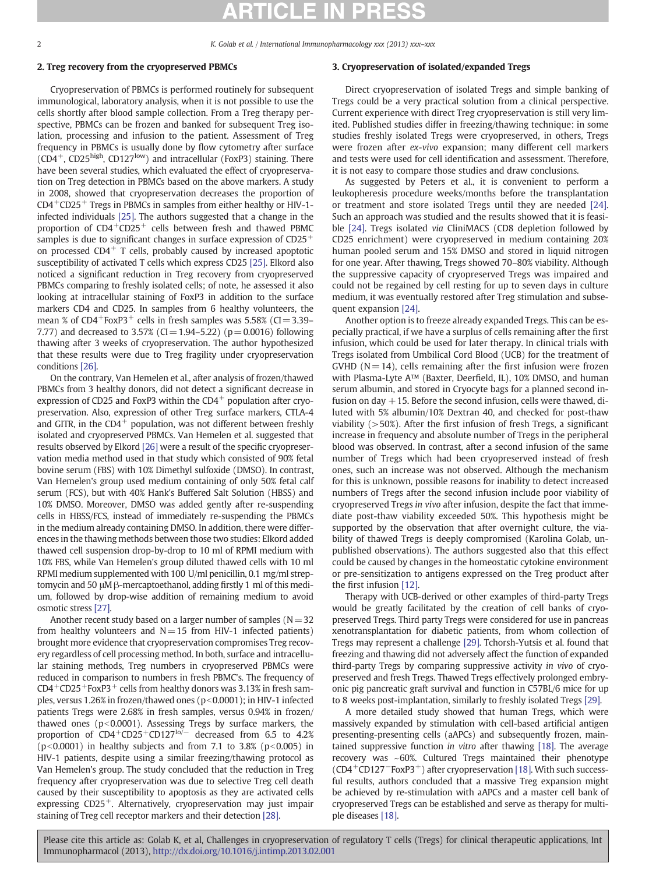2 K. Golab et al. / International Immunopharmacology xxx (2013) xxx–xxx

# 2. Treg recovery from the cryopreserved PBMCs

Cryopreservation of PBMCs is performed routinely for subsequent immunological, laboratory analysis, when it is not possible to use the cells shortly after blood sample collection. From a Treg therapy perspective, PBMCs can be frozen and banked for subsequent Treg isolation, processing and infusion to the patient. Assessment of Treg frequency in PBMCs is usually done by flow cytometry after surface  $(CD4^+$ , CD25<sup>high</sup>, CD127<sup>low</sup>) and intracellular (FoxP3) staining. There have been several studies, which evaluated the effect of cryopreservation on Treg detection in PBMCs based on the above markers. A study in 2008, showed that cryopreservation decreases the proportion of  $CD4^+CD25^+$  Tregs in PBMCs in samples from either healthy or HIV-1infected individuals [\[25\].](#page-4-0) The authors suggested that a change in the proportion of CD4<sup>+</sup>CD25<sup>+</sup> cells between fresh and thawed PBMC samples is due to significant changes in surface expression of  $CD25<sup>+</sup>$ on processed  $CD4$ <sup>+</sup> T cells, probably caused by increased apoptotic susceptibility of activated T cells which express CD25 [\[25\]](#page-4-0). Elkord also noticed a significant reduction in Treg recovery from cryopreserved PBMCs comparing to freshly isolated cells; of note, he assessed it also looking at intracellular staining of FoxP3 in addition to the surface markers CD4 and CD25. In samples from 6 healthy volunteers, the mean % of  $CD4^+$ FoxP3<sup>+</sup> cells in fresh samples was 5.58% (CI=3.39– 7.77) and decreased to 3.57% (CI=1.94–5.22) ( $p=0.0016$ ) following thawing after 3 weeks of cryopreservation. The author hypothesized that these results were due to Treg fragility under cryopreservation conditions [\[26\]](#page-4-0).

On the contrary, Van Hemelen et al., after analysis of frozen/thawed PBMCs from 3 healthy donors, did not detect a significant decrease in expression of CD25 and FoxP3 within the  $CD4^+$  population after cryopreservation. Also, expression of other Treg surface markers, CTLA-4 and GITR, in the  $CD4^+$  population, was not different between freshly isolated and cryopreserved PBMCs. Van Hemelen et al. suggested that results observed by Elkord [\[26\]](#page-4-0) were a result of the specific cryopreservation media method used in that study which consisted of 90% fetal bovine serum (FBS) with 10% Dimethyl sulfoxide (DMSO). In contrast, Van Hemelen's group used medium containing of only 50% fetal calf serum (FCS), but with 40% Hank's Buffered Salt Solution (HBSS) and 10% DMSO. Moreover, DMSO was added gently after re-suspending cells in HBSS/FCS, instead of immediately re-suspending the PBMCs in the medium already containing DMSO. In addition, there were differences in the thawing methods between those two studies: Elkord added thawed cell suspension drop-by-drop to 10 ml of RPMI medium with 10% FBS, while Van Hemelen's group diluted thawed cells with 10 ml RPMI medium supplemented with 100 U/ml penicillin, 0.1 mg/ml streptomycin and 50 μM β-mercaptoethanol, adding firstly 1 ml of this medium, followed by drop-wise addition of remaining medium to avoid osmotic stress [\[27\].](#page-4-0)

Another recent study based on a larger number of samples  $(N=32)$ from healthy volunteers and  $N=15$  from HIV-1 infected patients) brought more evidence that cryopreservation compromises Treg recovery regardless of cell processing method. In both, surface and intracellular staining methods, Treg numbers in cryopreserved PBMCs were reduced in comparison to numbers in fresh PBMC's. The frequency of  $CD4^+CD25^+$ FoxP3<sup>+</sup> cells from healthy donors was 3.13% in fresh samples, versus 1.26% in frozen/thawed ones ( $p<0.0001$ ); in HIV-1 infected patients Tregs were 2.68% in fresh samples, versus 0.94% in frozen/ thawed ones ( $p<0.0001$ ). Assessing Tregs by surface markers, the proportion of CD4<sup>+</sup>CD25<sup>+</sup>CD127<sup>lo/−</sup> decreased from 6.5 to 4.2%  $(p<0.0001)$  in healthy subjects and from 7.1 to 3.8% (p $< 0.005$ ) in HIV-1 patients, despite using a similar freezing/thawing protocol as Van Hemelen's group. The study concluded that the reduction in Treg frequency after cryopreservation was due to selective Treg cell death caused by their susceptibility to apoptosis as they are activated cells expressing  $CD25^+$ . Alternatively, cryopreservation may just impair staining of Treg cell receptor markers and their detection [\[28\].](#page-4-0)

# 3. Cryopreservation of isolated/expanded Tregs

Direct cryopreservation of isolated Tregs and simple banking of Tregs could be a very practical solution from a clinical perspective. Current experience with direct Treg cryopreservation is still very limited. Published studies differ in freezing/thawing technique: in some studies freshly isolated Tregs were cryopreserved, in others, Tregs were frozen after ex-vivo expansion; many different cell markers and tests were used for cell identification and assessment. Therefore, it is not easy to compare those studies and draw conclusions.

As suggested by Peters et al., it is convenient to perform a leukopheresis procedure weeks/months before the transplantation or treatment and store isolated Tregs until they are needed [\[24\].](#page-4-0) Such an approach was studied and the results showed that it is feasible [\[24\]](#page-4-0). Tregs isolated via CliniMACS (CD8 depletion followed by CD25 enrichment) were cryopreserved in medium containing 20% human pooled serum and 15% DMSO and stored in liquid nitrogen for one year. After thawing, Tregs showed 70–80% viability. Although the suppressive capacity of cryopreserved Tregs was impaired and could not be regained by cell resting for up to seven days in culture medium, it was eventually restored after Treg stimulation and subsequent expansion [\[24\].](#page-4-0)

Another option is to freeze already expanded Tregs. This can be especially practical, if we have a surplus of cells remaining after the first infusion, which could be used for later therapy. In clinical trials with Tregs isolated from Umbilical Cord Blood (UCB) for the treatment of GVHD ( $N=14$ ), cells remaining after the first infusion were frozen with Plasma-Lyte A™ (Baxter, Deerfield, IL), 10% DMSO, and human serum albumin, and stored in Cryocyte bags for a planned second infusion on day  $+15$ . Before the second infusion, cells were thawed, diluted with 5% albumin/10% Dextran 40, and checked for post-thaw viability  $(>50\%)$ . After the first infusion of fresh Tregs, a significant increase in frequency and absolute number of Tregs in the peripheral blood was observed. In contrast, after a second infusion of the same number of Tregs which had been cryopreserved instead of fresh ones, such an increase was not observed. Although the mechanism for this is unknown, possible reasons for inability to detect increased numbers of Tregs after the second infusion include poor viability of cryopreserved Tregs in vivo after infusion, despite the fact that immediate post-thaw viability exceeded 50%. This hypothesis might be supported by the observation that after overnight culture, the viability of thawed Tregs is deeply compromised (Karolina Golab, unpublished observations). The authors suggested also that this effect could be caused by changes in the homeostatic cytokine environment or pre-sensitization to antigens expressed on the Treg product after the first infusion [\[12\]](#page-4-0).

Therapy with UCB-derived or other examples of third-party Tregs would be greatly facilitated by the creation of cell banks of cryopreserved Tregs. Third party Tregs were considered for use in pancreas xenotransplantation for diabetic patients, from whom collection of Tregs may represent a challenge [\[29\]](#page-4-0). Tchorsh-Yutsis et al. found that freezing and thawing did not adversely affect the function of expanded third-party Tregs by comparing suppressive activity in vivo of cryopreserved and fresh Tregs. Thawed Tregs effectively prolonged embryonic pig pancreatic graft survival and function in C57BL/6 mice for up to 8 weeks post-implantation, similarly to freshly isolated Tregs [\[29\].](#page-4-0)

A more detailed study showed that human Tregs, which were massively expanded by stimulation with cell-based artificial antigen presenting-presenting cells (aAPCs) and subsequently frozen, maintained suppressive function in vitro after thawing [\[18\]](#page-4-0). The average recovery was ~60%. Cultured Tregs maintained their phenotype (CD4+CD127<sup>−</sup>FoxP3+) after cryopreservation [\[18\]](#page-4-0). With such successful results, authors concluded that a massive Treg expansion might be achieved by re-stimulation with aAPCs and a master cell bank of cryopreserved Tregs can be established and serve as therapy for multiple diseases [\[18\]](#page-4-0).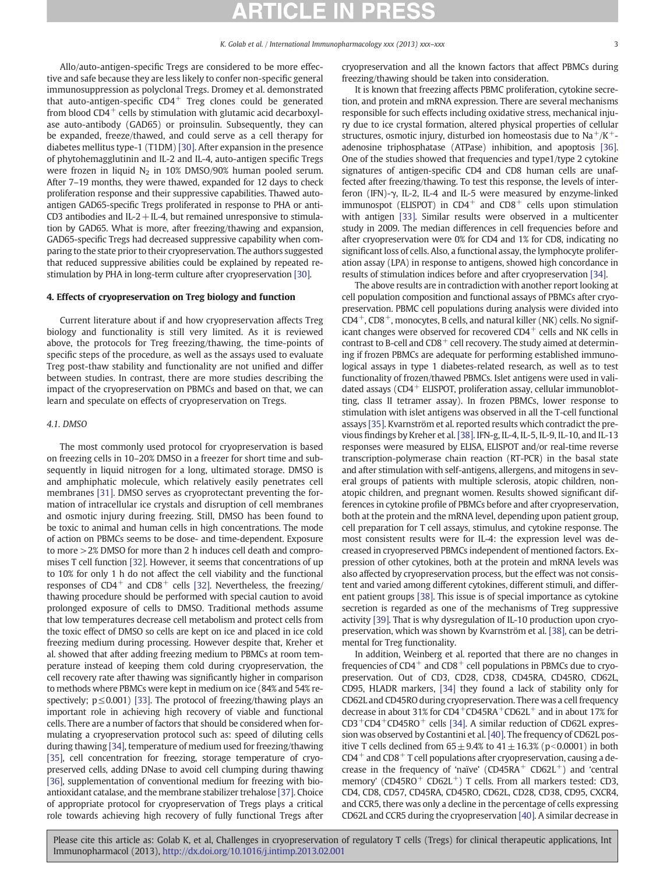Allo/auto-antigen-specific Tregs are considered to be more effective and safe because they are less likely to confer non-specific general immunosuppression as polyclonal Tregs. Dromey et al. demonstrated that auto-antigen-specific  $CD4^+$  Treg clones could be generated from blood  $CD4^+$  cells by stimulation with glutamic acid decarboxylase auto-antibody (GAD65) or proinsulin. Subsequently, they can be expanded, freeze/thawed, and could serve as a cell therapy for diabetes mellitus type-1 (T1DM) [\[30\].](#page-4-0) After expansion in the presence of phytohemagglutinin and IL-2 and IL-4, auto-antigen specific Tregs were frozen in liquid  $N_2$  in 10% DMSO/90% human pooled serum. After 7–19 months, they were thawed, expanded for 12 days to check proliferation response and their suppressive capabilities. Thawed autoantigen GAD65-specific Tregs proliferated in response to PHA or anti-CD3 antibodies and IL-2 + IL-4, but remained unresponsive to stimulation by GAD65. What is more, after freezing/thawing and expansion, GAD65-specific Tregs had decreased suppressive capability when comparing to the state prior to their cryopreservation. The authors suggested that reduced suppressive abilities could be explained by repeated restimulation by PHA in long-term culture after cryopreservation [\[30\]](#page-4-0).

# 4. Effects of cryopreservation on Treg biology and function

Current literature about if and how cryopreservation affects Treg biology and functionality is still very limited. As it is reviewed above, the protocols for Treg freezing/thawing, the time-points of specific steps of the procedure, as well as the assays used to evaluate Treg post-thaw stability and functionality are not unified and differ between studies. In contrast, there are more studies describing the impact of the cryopreservation on PBMCs and based on that, we can learn and speculate on effects of cryopreservation on Tregs.

### 4.1. DMSO

The most commonly used protocol for cryopreservation is based on freezing cells in 10–20% DMSO in a freezer for short time and subsequently in liquid nitrogen for a long, ultimated storage. DMSO is and amphiphatic molecule, which relatively easily penetrates cell membranes [\[31\].](#page-4-0) DMSO serves as cryoprotectant preventing the formation of intracellular ice crystals and disruption of cell membranes and osmotic injury during freezing. Still, DMSO has been found to be toxic to animal and human cells in high concentrations. The mode of action on PBMCs seems to be dose- and time-dependent. Exposure to more >2% DMSO for more than 2 h induces cell death and compromises T cell function [\[32\]](#page-4-0). However, it seems that concentrations of up to 10% for only 1 h do not affect the cell viability and the functional responses of  $CD4^+$  and  $CD8^+$  cells [\[32\]](#page-4-0). Nevertheless, the freezing/ thawing procedure should be performed with special caution to avoid prolonged exposure of cells to DMSO. Traditional methods assume that low temperatures decrease cell metabolism and protect cells from the toxic effect of DMSO so cells are kept on ice and placed in ice cold freezing medium during processing. However despite that, Kreher et al. showed that after adding freezing medium to PBMCs at room temperature instead of keeping them cold during cryopreservation, the cell recovery rate after thawing was significantly higher in comparison to methods where PBMCs were kept in medium on ice (84% and 54% respectively;  $p \le 0.001$  [\[33\]](#page-4-0). The protocol of freezing/thawing plays an important role in achieving high recovery of viable and functional cells. There are a number of factors that should be considered when formulating a cryopreservation protocol such as: speed of diluting cells during thawing [\[34\]](#page-4-0), temperature of medium used for freezing/thawing [\[35\],](#page-4-0) cell concentration for freezing, storage temperature of cryopreserved cells, adding DNase to avoid cell clumping during thawing [\[36\],](#page-4-0) supplementation of conventional medium for freezing with bioantioxidant catalase, and the membrane stabilizer trehalose [\[37\].](#page-4-0) Choice of appropriate protocol for cryopreservation of Tregs plays a critical role towards achieving high recovery of fully functional Tregs after cryopreservation and all the known factors that affect PBMCs during freezing/thawing should be taken into consideration.

It is known that freezing affects PBMC proliferation, cytokine secretion, and protein and mRNA expression. There are several mechanisms responsible for such effects including oxidative stress, mechanical injury due to ice crystal formation, altered physical properties of cellular structures, osmotic injury, disturbed ion homeostasis due to  $Na^+/K^+$ adenosine triphosphatase (ATPase) inhibition, and apoptosis [\[36\].](#page-4-0) One of the studies showed that frequencies and type1/type 2 cytokine signatures of antigen-specific CD4 and CD8 human cells are unaffected after freezing/thawing. To test this response, the levels of interferon (IFN)-γ, IL-2, IL-4 and IL-5 were measured by enzyme-linked immunospot (ELISPOT) in  $CD4^+$  and  $CD8^+$  cells upon stimulation with antigen [\[33\]](#page-4-0). Similar results were observed in a multicenter study in 2009. The median differences in cell frequencies before and after cryopreservation were 0% for CD4 and 1% for CD8, indicating no significant loss of cells. Also, a functional assay, the lymphocyte proliferation assay (LPA) in response to antigens, showed high concordance in results of stimulation indices before and after cryopreservation [\[34\]](#page-4-0).

The above results are in contradiction with another report looking at cell population composition and functional assays of PBMCs after cryopreservation. PBMC cell populations during analysis were divided into  $CD4^+$ ,  $CD8^+$ , monocytes, B cells, and natural killer (NK) cells. No significant changes were observed for recovered  $CD4^+$  cells and NK cells in contrast to B-cell and  $CD8^+$  cell recovery. The study aimed at determining if frozen PBMCs are adequate for performing established immunological assays in type 1 diabetes-related research, as well as to test functionality of frozen/thawed PBMCs. Islet antigens were used in validated assays ( $CD4$ <sup>+</sup> ELISPOT, proliferation assay, cellular immunoblotting, class II tetramer assay). In frozen PBMCs, lower response to stimulation with islet antigens was observed in all the T-cell functional assays [\[35\].](#page-4-0) Kvarnström et al. reported results which contradict the previous findings by Kreher et al. [\[38\].](#page-4-0) IFN-g, IL-4, IL-5, IL-9, IL-10, and IL-13 responses were measured by ELISA, ELISPOT and/or real-time reverse transcription-polymerase chain reaction (RT-PCR) in the basal state and after stimulation with self-antigens, allergens, and mitogens in several groups of patients with multiple sclerosis, atopic children, nonatopic children, and pregnant women. Results showed significant differences in cytokine profile of PBMCs before and after cryopreservation, both at the protein and the mRNA level, depending upon patient group, cell preparation for T cell assays, stimulus, and cytokine response. The most consistent results were for IL-4: the expression level was decreased in cryopreserved PBMCs independent of mentioned factors. Expression of other cytokines, both at the protein and mRNA levels was also affected by cryopreservation process, but the effect was not consistent and varied among different cytokines, different stimuli, and different patient groups [\[38\]](#page-4-0). This issue is of special importance as cytokine secretion is regarded as one of the mechanisms of Treg suppressive activity [\[39\]](#page-4-0). That is why dysregulation of IL-10 production upon cryopreservation, which was shown by Kvarnström et al. [\[38\],](#page-4-0) can be detrimental for Treg functionality.

In addition, Weinberg et al. reported that there are no changes in frequencies of  $CD4^+$  and  $CD8^+$  cell populations in PBMCs due to cryopreservation. Out of CD3, CD28, CD38, CD45RA, CD45RO, CD62L, CD95, HLADR markers, [\[34\]](#page-4-0) they found a lack of stability only for CD62L and CD45RO during cryopreservation. There was a cell frequency decrease in about 31% for  $CD4^+CD45RA^+CD62L^+$  and in about 17% for CD3+CD4+CD45RO+ cells [\[34\].](#page-4-0) A similar reduction of CD62L expression was observed by Costantini et al. [\[40\]](#page-4-0). The frequency of CD62L positive T cells declined from  $65 \pm 9.4\%$  to  $41 \pm 16.3\%$  (p<0.0001) in both  $CD4^+$  and  $CD8^+$  T cell populations after cryopreservation, causing a decrease in the frequency of 'naïve'  $(CD45RA<sup>+</sup> CD62L<sup>+</sup>)$  and 'central memory' (CD45RO<sup>+</sup> CD62L<sup>+</sup>) T cells. From all markers tested: CD3, CD4, CD8, CD57, CD45RA, CD45RO, CD62L, CD28, CD38, CD95, CXCR4, and CCR5, there was only a decline in the percentage of cells expressing CD62L and CCR5 during the cryopreservation [\[40\]](#page-4-0). A similar decrease in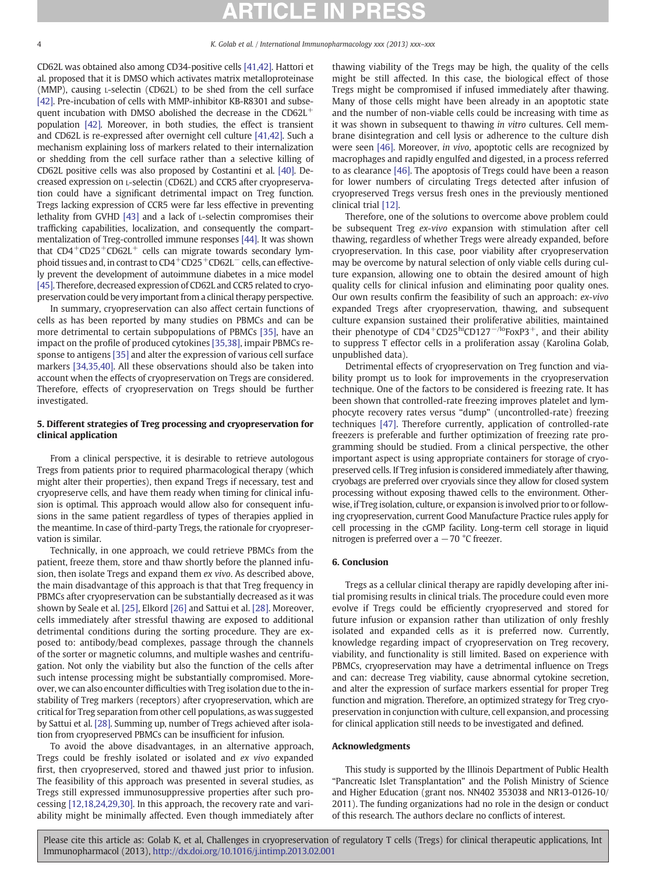CD62L was obtained also among CD34-positive cells [\[41,42\].](#page-4-0) Hattori et al. proposed that it is DMSO which activates matrix metalloproteinase (MMP), causing L-selectin (CD62L) to be shed from the cell surface [\[42\]](#page-4-0). Pre-incubation of cells with MMP-inhibitor KB-R8301 and subsequent incubation with DMSO abolished the decrease in the CD62L<sup>+</sup> population [\[42\]](#page-4-0). Moreover, in both studies, the effect is transient and CD62L is re-expressed after overnight cell culture [\[41,42\]](#page-4-0). Such a mechanism explaining loss of markers related to their internalization or shedding from the cell surface rather than a selective killing of CD62L positive cells was also proposed by Costantini et al. [\[40\]](#page-4-0). Decreased expression on L-selectin (CD62L) and CCR5 after cryopreservation could have a significant detrimental impact on Treg function. Tregs lacking expression of CCR5 were far less effective in preventing lethality from GVHD [\[43\]](#page-4-0) and a lack of L-selectin compromises their trafficking capabilities, localization, and consequently the compartmentalization of Treg-controlled immune responses [\[44\]](#page-4-0). It was shown that  $CD4+CD25+CD62L+$  cells can migrate towards secondary lymphoid tissues and, in contrast to CD4<sup>+</sup>CD25<sup>+</sup>CD62L<sup>−</sup> cells, can effectively prevent the development of autoimmune diabetes in a mice model [\[45\].](#page-4-0) Therefore, decreased expression of CD62L and CCR5 related to cryopreservation could be very important from a clinical therapy perspective.

In summary, cryopreservation can also affect certain functions of cells as has been reported by many studies on PBMCs and can be more detrimental to certain subpopulations of PBMCs [\[35\],](#page-4-0) have an impact on the profile of produced cytokines [\[35,38\]](#page-4-0), impair PBMCs response to antigens [\[35\]](#page-4-0) and alter the expression of various cell surface markers [\[34,35,40\].](#page-4-0) All these observations should also be taken into account when the effects of cryopreservation on Tregs are considered. Therefore, effects of cryopreservation on Tregs should be further investigated.

# 5. Different strategies of Treg processing and cryopreservation for clinical application

From a clinical perspective, it is desirable to retrieve autologous Tregs from patients prior to required pharmacological therapy (which might alter their properties), then expand Tregs if necessary, test and cryopreserve cells, and have them ready when timing for clinical infusion is optimal. This approach would allow also for consequent infusions in the same patient regardless of types of therapies applied in the meantime. In case of third-party Tregs, the rationale for cryopreservation is similar.

Technically, in one approach, we could retrieve PBMCs from the patient, freeze them, store and thaw shortly before the planned infusion, then isolate Tregs and expand them ex vivo. As described above, the main disadvantage of this approach is that that Treg frequency in PBMCs after cryopreservation can be substantially decreased as it was shown by Seale et al. [\[25\]](#page-4-0), Elkord [\[26\]](#page-4-0) and Sattui et al. [\[28\].](#page-4-0) Moreover, cells immediately after stressful thawing are exposed to additional detrimental conditions during the sorting procedure. They are exposed to: antibody/bead complexes, passage through the channels of the sorter or magnetic columns, and multiple washes and centrifugation. Not only the viability but also the function of the cells after such intense processing might be substantially compromised. Moreover, we can also encounter difficulties with Treg isolation due to the instability of Treg markers (receptors) after cryopreservation, which are critical for Treg separation from other cell populations, as was suggested by Sattui et al. [\[28\]](#page-4-0). Summing up, number of Tregs achieved after isolation from cryopreserved PBMCs can be insufficient for infusion.

To avoid the above disadvantages, in an alternative approach, Tregs could be freshly isolated or isolated and ex vivo expanded first, then cryopreserved, stored and thawed just prior to infusion. The feasibility of this approach was presented in several studies, as Tregs still expressed immunosuppressive properties after such processing [\[12,18,24,29,30\].](#page-4-0) In this approach, the recovery rate and variability might be minimally affected. Even though immediately after thawing viability of the Tregs may be high, the quality of the cells might be still affected. In this case, the biological effect of those Tregs might be compromised if infused immediately after thawing. Many of those cells might have been already in an apoptotic state and the number of non-viable cells could be increasing with time as it was shown in subsequent to thawing in vitro cultures. Cell membrane disintegration and cell lysis or adherence to the culture dish were seen [\[46\]](#page-4-0). Moreover, in vivo, apoptotic cells are recognized by macrophages and rapidly engulfed and digested, in a process referred to as clearance [\[46\]](#page-4-0). The apoptosis of Tregs could have been a reason for lower numbers of circulating Tregs detected after infusion of cryopreserved Tregs versus fresh ones in the previously mentioned clinical trial [\[12\].](#page-4-0)

Therefore, one of the solutions to overcome above problem could be subsequent Treg ex-vivo expansion with stimulation after cell thawing, regardless of whether Tregs were already expanded, before cryopreservation. In this case, poor viability after cryopreservation may be overcome by natural selection of only viable cells during culture expansion, allowing one to obtain the desired amount of high quality cells for clinical infusion and eliminating poor quality ones. Our own results confirm the feasibility of such an approach: ex-vivo expanded Tregs after cryopreservation, thawing, and subsequent culture expansion sustained their proliferative abilities, maintained their phenotype of  $CD4+CD25$ <sup>hi</sup>CD127<sup>-/lo</sup>FoxP3<sup>+</sup>, and their ability to suppress T effector cells in a proliferation assay (Karolina Golab, unpublished data).

Detrimental effects of cryopreservation on Treg function and viability prompt us to look for improvements in the cryopreservation technique. One of the factors to be considered is freezing rate. It has been shown that controlled-rate freezing improves platelet and lymphocyte recovery rates versus "dump" (uncontrolled-rate) freezing techniques [\[47\].](#page-4-0) Therefore currently, application of controlled-rate freezers is preferable and further optimization of freezing rate programming should be studied. From a clinical perspective, the other important aspect is using appropriate containers for storage of cryopreserved cells. If Treg infusion is considered immediately after thawing, cryobags are preferred over cryovials since they allow for closed system processing without exposing thawed cells to the environment. Otherwise, if Treg isolation, culture, or expansion is involved prior to or following cryopreservation, current Good Manufacture Practice rules apply for cell processing in the cGMP facility. Long-term cell storage in liquid nitrogen is preferred over a  $-70$  °C freezer.

# 6. Conclusion

Tregs as a cellular clinical therapy are rapidly developing after initial promising results in clinical trials. The procedure could even more evolve if Tregs could be efficiently cryopreserved and stored for future infusion or expansion rather than utilization of only freshly isolated and expanded cells as it is preferred now. Currently, knowledge regarding impact of cryopreservation on Treg recovery, viability, and functionality is still limited. Based on experience with PBMCs, cryopreservation may have a detrimental influence on Tregs and can: decrease Treg viability, cause abnormal cytokine secretion, and alter the expression of surface markers essential for proper Treg function and migration. Therefore, an optimized strategy for Treg cryopreservation in conjunction with culture, cell expansion, and processing for clinical application still needs to be investigated and defined.

## Acknowledgments

This study is supported by the Illinois Department of Public Health "Pancreatic Islet Transplantation" and the Polish Ministry of Science and Higher Education (grant nos. NN402 353038 and NR13-0126-10/ 2011). The funding organizations had no role in the design or conduct of this research. The authors declare no conflicts of interest.